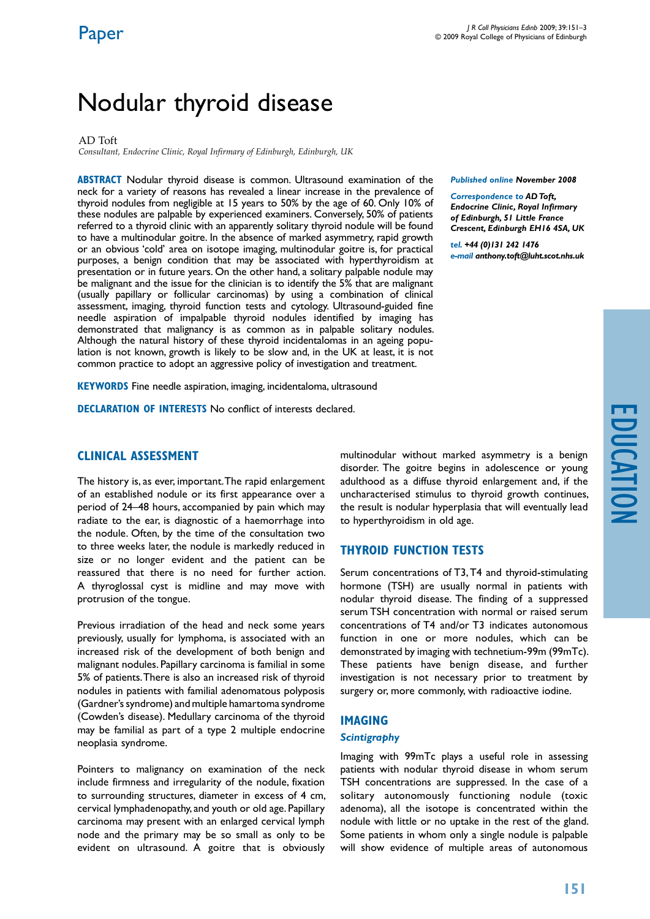# Nodular thyroid disease

#### AD Toft

*Consultant, Endocrine Clinic, Royal Infirmary of Edinburgh, Edinburgh, UK*

**ABSTRACT** Nodular thyroid disease is common. Ultrasound examination of the neck for a variety of reasons has revealed a linear increase in the prevalence of thyroid nodules from negligible at 15 years to 50% by the age of 60. Only 10% of these nodules are palpable by experienced examiners. Conversely, 50% of patients referred to a thyroid clinic with an apparently solitary thyroid nodule will be found to have a multinodular goitre. In the absence of marked asymmetry, rapid growth or an obvious 'cold' area on isotope imaging, multinodular goitre is, for practical purposes, a benign condition that may be associated with hyperthyroidism at presentation or in future years. On the other hand, a solitary palpable nodule may be malignant and the issue for the clinician is to identify the 5% that are malignant (usually papillary or follicular carcinomas) by using a combination of clinical assessment, imaging, thyroid function tests and cytology. Ultrasound-guided fine needle aspiration of impalpable thyroid nodules identified by imaging has demonstrated that malignancy is as common as in palpable solitary nodules. Although the natural history of these thyroid incidentalomas in an ageing population is not known, growth is likely to be slow and, in the UK at least, it is not common practice to adopt an aggressive policy of investigation and treatment.

**KEYWORDS** Fine needle aspiration, imaging, incidentaloma, ultrasound

**Declaration of Interests** No conflict of interests declared.

# **Clinical assessment**

The history is, as ever, important. The rapid enlargement of an established nodule or its first appearance over a period of 24–48 hours, accompanied by pain which may radiate to the ear, is diagnostic of a haemorrhage into the nodule. Often, by the time of the consultation two to three weeks later, the nodule is markedly reduced in size or no longer evident and the patient can be reassured that there is no need for further action. A thyroglossal cyst is midline and may move with protrusion of the tongue.

Previous irradiation of the head and neck some years previously, usually for lymphoma, is associated with an increased risk of the development of both benign and malignant nodules. Papillary carcinoma is familial in some 5% of patients. There is also an increased risk of thyroid nodules in patients with familial adenomatous polyposis (Gardner's syndrome) and multiple hamartoma syndrome (Cowden's disease). Medullary carcinoma of the thyroid may be familial as part of a type 2 multiple endocrine neoplasia syndrome.

Pointers to malignancy on examination of the neck include firmness and irregularity of the nodule, fixation to surrounding structures, diameter in excess of 4 cm, cervical lymphadenopathy, and youth or old age. Papillary carcinoma may present with an enlarged cervical lymph node and the primary may be so small as only to be evident on ultrasound. A goitre that is obviously

*Correspondence to AD Toft, Endocrine Clinic, Royal Infirmary* 

*Published online November 2008* 

*of Edinburgh, 51 Little France Crescent, Edinburgh EH16 4SA, UK*

*tel. +44 (0)131 242 1476 e-mail anthony.toft@luht.scot.nhs.uk*

multinodular without marked asymmetry is a benign disorder. The goitre begins in adolescence or young adulthood as a diffuse thyroid enlargement and, if the uncharacterised stimulus to thyroid growth continues, the result is nodular hyperplasia that will eventually lead to hyperthyroidism in old age.

# **Thyroid function tests**

Serum concentrations of T3, T4 and thyroid-stimulating hormone (TSH) are usually normal in patients with nodular thyroid disease. The finding of a suppressed serum TSH concentration with normal or raised serum concentrations of T4 and/or T3 indicates autonomous function in one or more nodules, which can be demonstrated by imaging with technetium-99m (99mTc). These patients have benign disease, and further investigation is not necessary prior to treatment by surgery or, more commonly, with radioactive iodine.

## **Imaging**

#### *Scintigraphy*

Imaging with 99mTc plays a useful role in assessing patients with nodular thyroid disease in whom serum TSH concentrations are suppressed. In the case of a solitary autonomously functioning nodule (toxic adenoma), all the isotope is concentrated within the nodule with little or no uptake in the rest of the gland. Some patients in whom only a single nodule is palpable will show evidence of multiple areas of autonomous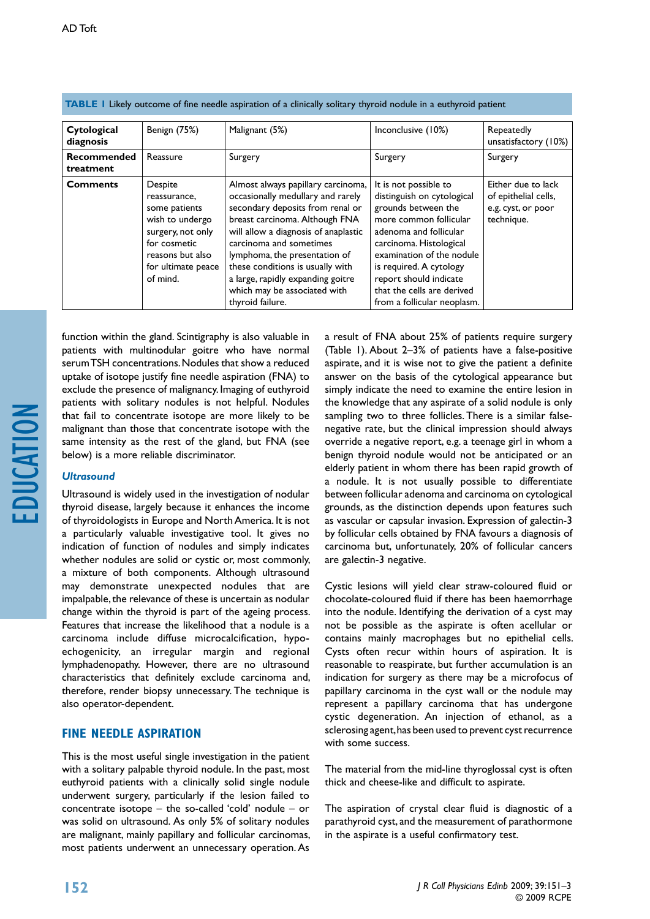| Cytological<br>diagnosis        | Benign (75%)                                                                                                                                           | Malignant (5%)                                                                                                                                                                                                                                                                                                                                                                 | Inconclusive (10%)                                                                                                                                                                                                                                                                                       | Repeatedly<br>unsatisfactory (10%)                                             |
|---------------------------------|--------------------------------------------------------------------------------------------------------------------------------------------------------|--------------------------------------------------------------------------------------------------------------------------------------------------------------------------------------------------------------------------------------------------------------------------------------------------------------------------------------------------------------------------------|----------------------------------------------------------------------------------------------------------------------------------------------------------------------------------------------------------------------------------------------------------------------------------------------------------|--------------------------------------------------------------------------------|
| <b>Recommended</b><br>treatment | Reassure                                                                                                                                               | Surgery                                                                                                                                                                                                                                                                                                                                                                        | Surgery                                                                                                                                                                                                                                                                                                  | Surgery                                                                        |
| <b>Comments</b>                 | Despite<br>reassurance,<br>some patients<br>wish to undergo<br>surgery, not only<br>for cosmetic<br>reasons but also<br>for ultimate peace<br>of mind. | Almost always papillary carcinoma,<br>occasionally medullary and rarely<br>secondary deposits from renal or<br>breast carcinoma. Although FNA<br>will allow a diagnosis of anaplastic<br>carcinoma and sometimes<br>lymphoma, the presentation of<br>these conditions is usually with<br>a large, rapidly expanding goitre<br>which may be associated with<br>thyroid failure. | It is not possible to<br>distinguish on cytological<br>grounds between the<br>more common follicular<br>adenoma and follicular<br>carcinoma. Histological<br>examination of the nodule<br>is required. A cytology<br>report should indicate<br>that the cells are derived<br>from a follicular neoplasm. | Either due to lack<br>of epithelial cells,<br>e.g. cyst, or poor<br>technique. |

**table 1** Likely outcome of fine needle aspiration of a clinically solitary thyroid nodule in a euthyroid patient

function within the gland. Scintigraphy is also valuable in patients with multinodular goitre who have normal serum TSH concentrations. Nodules that show a reduced uptake of isotope justify fine needle aspiration (FNA) to exclude the presence of malignancy. Imaging of euthyroid patients with solitary nodules is not helpful. Nodules that fail to concentrate isotope are more likely to be malignant than those that concentrate isotope with the same intensity as the rest of the gland, but FNA (see below) is a more reliable discriminator.

## *Ultrasound*

Ultrasound is widely used in the investigation of nodular thyroid disease, largely because it enhances the income of thyroidologists in Europe and North America. It is not a particularly valuable investigative tool. It gives no indication of function of nodules and simply indicates whether nodules are solid or cystic or, most commonly, a mixture of both components. Although ultrasound may demonstrate unexpected nodules that are impalpable, the relevance of these is uncertain as nodular change within the thyroid is part of the ageing process. Features that increase the likelihood that a nodule is a carcinoma include diffuse microcalcification, hypoechogenicity, an irregular margin and regional lymphadenopathy. However, there are no ultrasound characteristics that definitely exclude carcinoma and, therefore, render biopsy unnecessary. The technique is also operator-dependent.

# **Fine needle aspiration**

This is the most useful single investigation in the patient with a solitary palpable thyroid nodule. In the past, most euthyroid patients with a clinically solid single nodule underwent surgery, particularly if the lesion failed to concentrate isotope – the so-called 'cold' nodule – or was solid on ultrasound. As only 5% of solitary nodules are malignant, mainly papillary and follicular carcinomas, most patients underwent an unnecessary operation. As

a result of FNA about 25% of patients require surgery (Table 1). About 2–3% of patients have a false-positive aspirate, and it is wise not to give the patient a definite answer on the basis of the cytological appearance but simply indicate the need to examine the entire lesion in the knowledge that any aspirate of a solid nodule is only sampling two to three follicles. There is a similar falsenegative rate, but the clinical impression should always override a negative report, e.g. a teenage girl in whom a benign thyroid nodule would not be anticipated or an elderly patient in whom there has been rapid growth of a nodule. It is not usually possible to differentiate between follicular adenoma and carcinoma on cytological grounds, as the distinction depends upon features such as vascular or capsular invasion. Expression of galectin-3 by follicular cells obtained by FNA favours a diagnosis of carcinoma but, unfortunately, 20% of follicular cancers are galectin-3 negative.

Cystic lesions will yield clear straw-coloured fluid or chocolate-coloured fluid if there has been haemorrhage into the nodule. Identifying the derivation of a cyst may not be possible as the aspirate is often acellular or contains mainly macrophages but no epithelial cells. Cysts often recur within hours of aspiration. It is reasonable to reaspirate, but further accumulation is an indication for surgery as there may be a microfocus of papillary carcinoma in the cyst wall or the nodule may represent a papillary carcinoma that has undergone cystic degeneration. An injection of ethanol, as a sclerosing agent, has been used to prevent cyst recurrence with some success.

The material from the mid-line thyroglossal cyst is often thick and cheese-like and difficult to aspirate.

The aspiration of crystal clear fluid is diagnostic of a parathyroid cyst, and the measurement of parathormone in the aspirate is a useful confirmatory test.